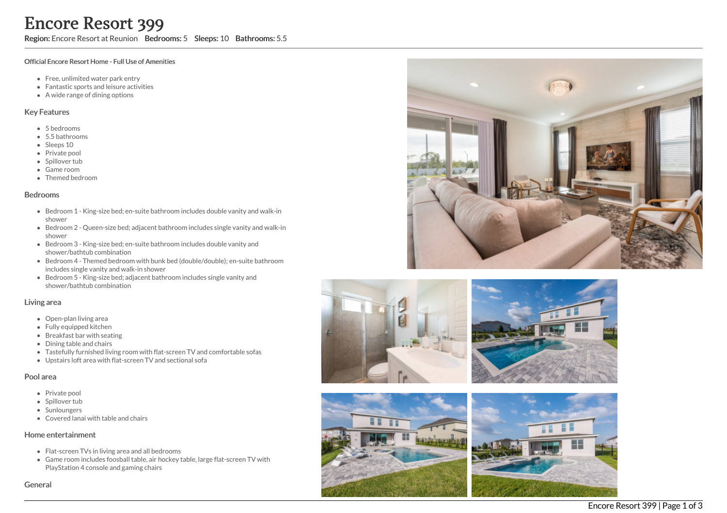Region: Encore Resort at Reunion Bedrooms: 5 Sleeps: 10 Bathrooms: 5.5

#### Official Encore Resort Home - Full Use of Amenities

- Free, unlimited water park entry
- Fantastic sports and leisure activities
- A wide range of dining options

### Key Features

- 5 b e d r o o m s
- 5.5 b a t h r o o m s
- Sleeps 10
- Private pool
- Spillover tub
- Game room
- Themed bedr o o m

#### **Bedrooms**

- Bedroom 1 King-size bed; en-suite bathroom includes double vanity and walk-in s h o w e r
- Bedroom 2 Queen-size bed; adjacent bathroom includes single vanity and walk-in s h o w e r
- Bedroom 3 King-size bed; en-suite bathroom includes double vanity and shower/bathtub combination
- Bedroom 4 Themed bedroom with bunk bed (double/double); en-suite bathroom includes single vanity and walk-in shower
- Bedroom 5 King-size bed; adjacent bathroom includes single vanity and shower/bathtub combination

#### Living area

- Open-plan living area
- Fully equipped kitchen
- Breakfast bar with seating
- Dining table and chairs
- Tastefully furnished living room with flat-screen TV and comfortable sofas
- Upstairs loft area with flat-screen TV and sectional sofa

#### Pool area

- Private pool
- Spillover tub
- Sunloungers
- Covered lanai with table and chairs

### Home entertainment

- Flat-screen TVs in living area and all bedrooms
- Game room includes foosball table, air hockey table, large flat-screen TV with PlayStation 4 console and gaming chairs

Genera









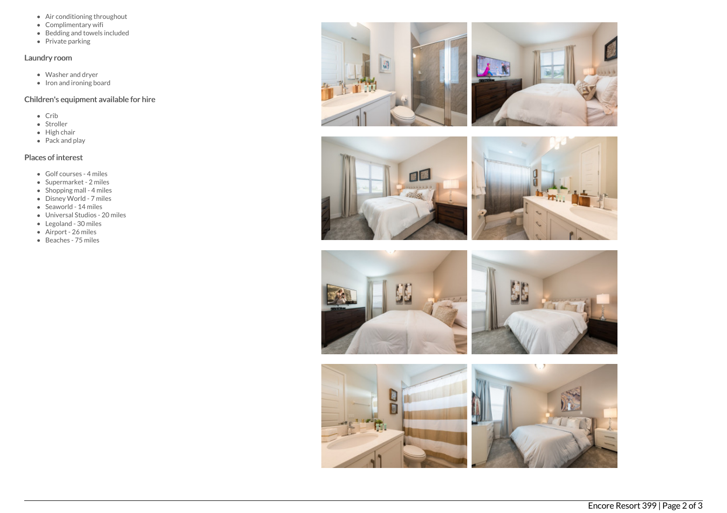- Air conditioning throughout
- Complimentary wifi
- $\bullet$  Bedding and towels included
- Private parking

## Laundry room

- Washer and dryer
- $\bullet$  Iron and ironing board

# Children's equipment available for hire

- Crib
- Stroller
- $\bullet$  High chair
- Pack and play

# Places of interest

- Golf courses 4 miles
- Supermarket 2 miles
- $\bullet$  Shopping mall 4 miles
- Disney World 7 miles
- Seaworld 14 miles
- Universal Studios 20 miles
- Legoland 30 miles
- Airport 26 miles
- Beaches 75 miles